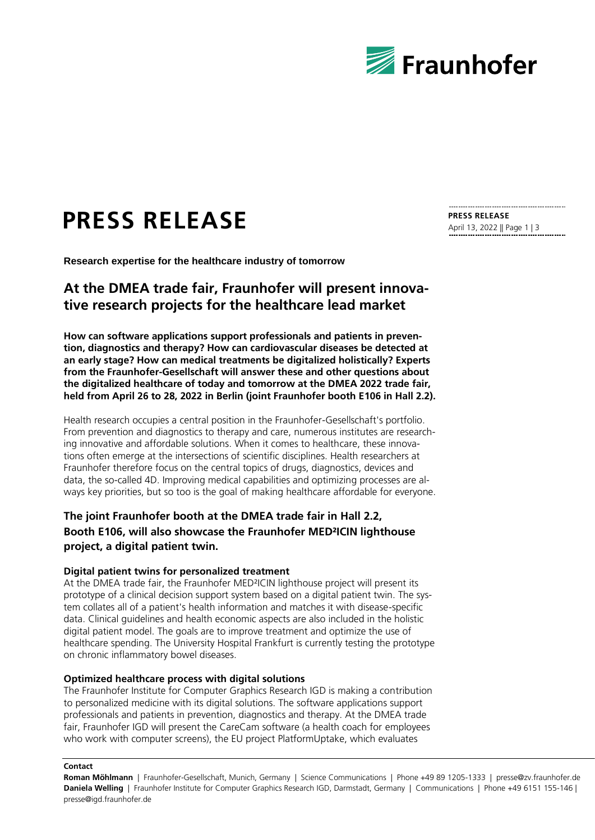

# **PRESS RELEASE**

**Research expertise for the healthcare industry of tomorrow**

## **At the DMEA trade fair, Fraunhofer will present innovative research projects for the healthcare lead market**

**How can software applications support professionals and patients in prevention, diagnostics and therapy? How can cardiovascular diseases be detected at an early stage? How can medical treatments be digitalized holistically? Experts from the Fraunhofer-Gesellschaft will answer these and other questions about the digitalized healthcare of today and tomorrow at the DMEA 2022 trade fair, held from April 26 to 28, 2022 in Berlin (joint Fraunhofer booth E106 in Hall 2.2).** 

Health research occupies a central position in the Fraunhofer-Gesellschaft's portfolio. From prevention and diagnostics to therapy and care, numerous institutes are researching innovative and affordable solutions. When it comes to healthcare, these innovations often emerge at the intersections of scientific disciplines. Health researchers at Fraunhofer therefore focus on the central topics of drugs, diagnostics, devices and data, the so-called 4D. Improving medical capabilities and optimizing processes are always key priorities, but so too is the goal of making healthcare affordable for everyone.

### **The joint Fraunhofer booth at the DMEA trade fair in Hall 2.2, Booth E106, will also showcase the Fraunhofer MED²ICIN lighthouse project, a digital patient twin.**

#### **Digital patient twins for personalized treatment**

At the DMEA trade fair, the Fraunhofer MED²ICIN lighthouse project will present its prototype of a clinical decision support system based on a digital patient twin. The system collates all of a patient's health information and matches it with disease-specific data. Clinical guidelines and health economic aspects are also included in the holistic digital patient model. The goals are to improve treatment and optimize the use of healthcare spending. The University Hospital Frankfurt is currently testing the prototype on chronic inflammatory bowel diseases.

#### **Optimized healthcare process with digital solutions**

The Fraunhofer Institute for Computer Graphics Research IGD is making a contribution to personalized medicine with its digital solutions. The software applications support professionals and patients in prevention, diagnostics and therapy. At the DMEA trade fair, Fraunhofer IGD will present the CareCam software (a health coach for employees who work with computer screens), the EU project PlatformUptake, which evaluates

**Contact**

**Roman Möhlmann** | Fraunhofer-Gesellschaft, Munich, Germany | Science Communications | Phone +49 89 1205-1333 | presse@zv.fraunhofer.de **Daniela Welling** | Fraunhofer Institute for Computer Graphics Research IGD, Darmstadt, Germany | Communications | Phone +49 6151 155-146 | presse@igd.fraunhofer.de

**PRESS RELEASE** April 13, 2022 || Page 1 | 3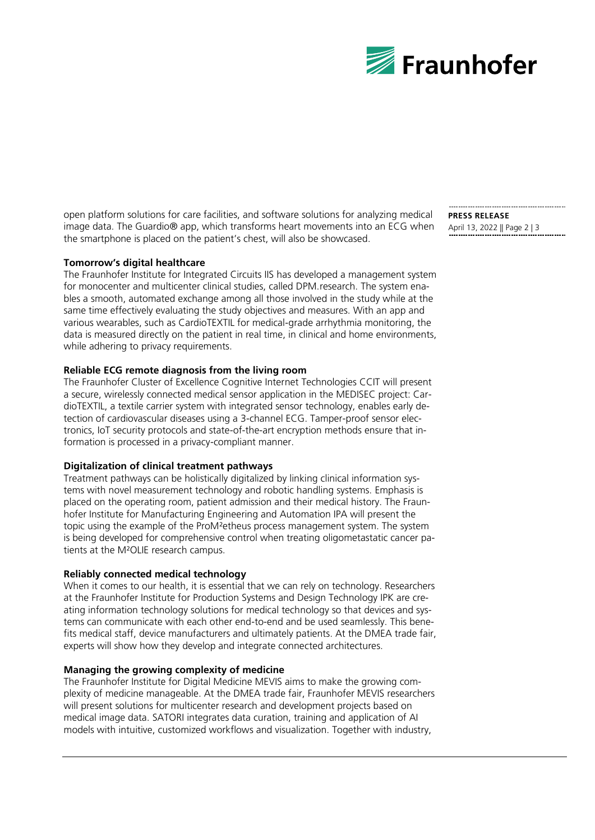

open platform solutions for care facilities, and software solutions for analyzing medical image data. The Guardio® app, which transforms heart movements into an ECG when the smartphone is placed on the patient's chest, will also be showcased.

#### **Tomorrow's digital healthcare**

The Fraunhofer Institute for Integrated Circuits IIS has developed a management system for monocenter and multicenter clinical studies, called DPM.research. The system enables a smooth, automated exchange among all those involved in the study while at the same time effectively evaluating the study objectives and measures. With an app and various wearables, such as CardioTEXTIL for medical-grade arrhythmia monitoring, the data is measured directly on the patient in real time, in clinical and home environments, while adhering to privacy requirements.

#### **Reliable ECG remote diagnosis from the living room**

The Fraunhofer Cluster of Excellence Cognitive Internet Technologies CCIT will present a secure, wirelessly connected medical sensor application in the MEDISEC project: CardioTEXTIL, a textile carrier system with integrated sensor technology, enables early detection of cardiovascular diseases using a 3-channel ECG. Tamper-proof sensor electronics, IoT security protocols and state-of-the-art encryption methods ensure that information is processed in a privacy-compliant manner.

#### **Digitalization of clinical treatment pathways**

Treatment pathways can be holistically digitalized by linking clinical information systems with novel measurement technology and robotic handling systems. Emphasis is placed on the operating room, patient admission and their medical history. The Fraunhofer Institute for Manufacturing Engineering and Automation IPA will present the topic using the example of the ProM²etheus process management system. The system is being developed for comprehensive control when treating oligometastatic cancer patients at the M²OLIE research campus.

#### **Reliably connected medical technology**

When it comes to our health, it is essential that we can rely on technology. Researchers at the Fraunhofer Institute for Production Systems and Design Technology IPK are creating information technology solutions for medical technology so that devices and systems can communicate with each other end-to-end and be used seamlessly. This benefits medical staff, device manufacturers and ultimately patients. At the DMEA trade fair, experts will show how they develop and integrate connected architectures.

#### **Managing the growing complexity of medicine**

The Fraunhofer Institute for Digital Medicine MEVIS aims to make the growing complexity of medicine manageable. At the DMEA trade fair, Fraunhofer MEVIS researchers will present solutions for multicenter research and development projects based on medical image data. SATORI integrates data curation, training and application of AI models with intuitive, customized workflows and visualization. Together with industry,

**PRESS RELEASE** April 13, 2022 || Page 2 | 3